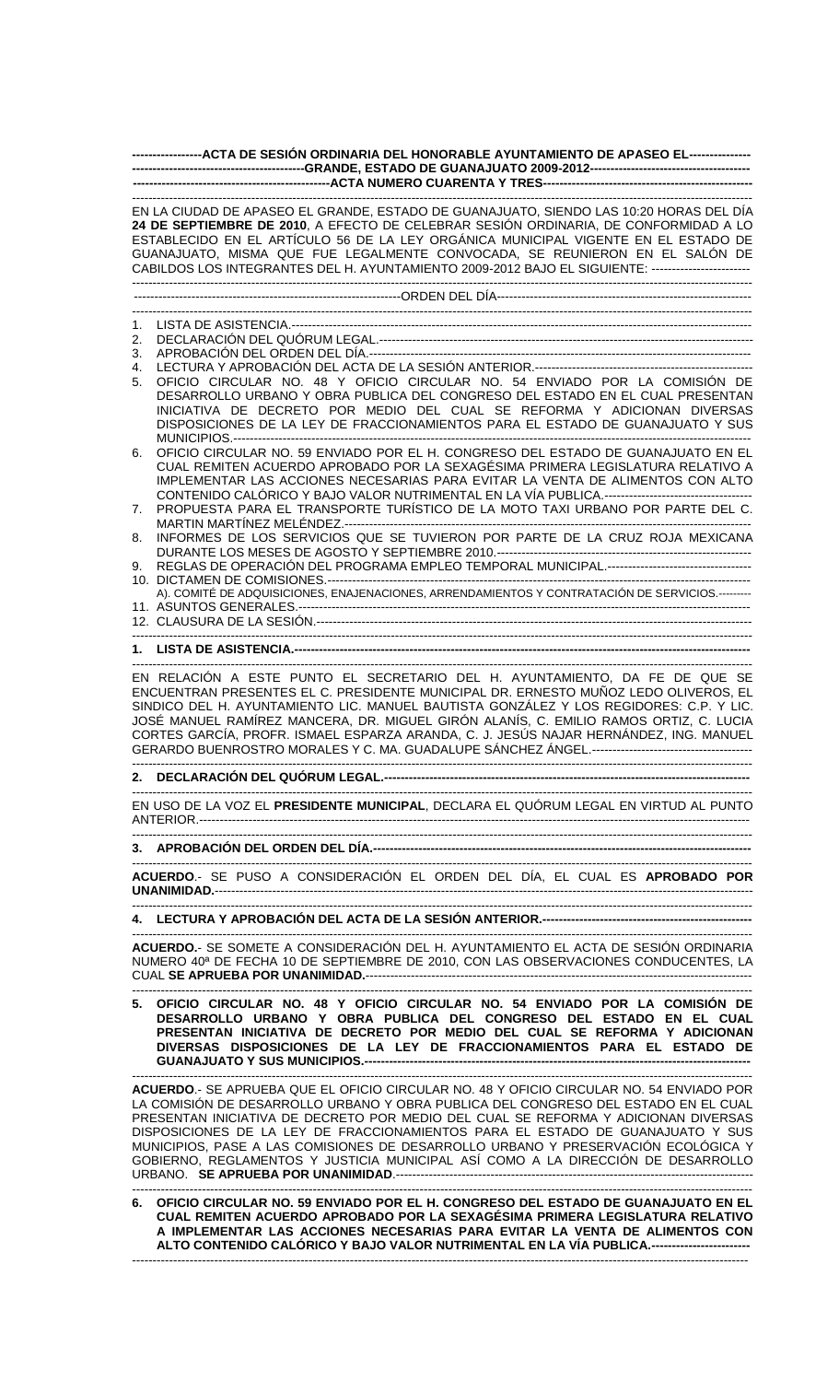|          | ------------------ACTA DE SESIÓN ORDINARIA DEL HONORABLE AYUNTAMIENTO DE APASEO EL----------------                                                                                                                                                                                                                                                                                                                                                                                                                             |  |  |  |  |  |  |
|----------|--------------------------------------------------------------------------------------------------------------------------------------------------------------------------------------------------------------------------------------------------------------------------------------------------------------------------------------------------------------------------------------------------------------------------------------------------------------------------------------------------------------------------------|--|--|--|--|--|--|
|          |                                                                                                                                                                                                                                                                                                                                                                                                                                                                                                                                |  |  |  |  |  |  |
|          | EN LA CIUDAD DE APASEO EL GRANDE, ESTADO DE GUANAJUATO, SIENDO LAS 10:20 HORAS DEL DÍA<br>24 DE SEPTIEMBRE DE 2010, A EFECTO DE CELEBRAR SESIÓN ORDINARIA, DE CONFORMIDAD A LO<br>ESTABLECIDO EN EL ARTÍCULO 56 DE LA LEY ORGÁNICA MUNICIPAL VIGENTE EN EL ESTADO DE<br>GUANAJUATO, MISMA QUE FUE LEGALMENTE CONVOCADA, SE REUNIERON EN EL SALÓN DE<br>CABILDOS LOS INTEGRANTES DEL H. AYUNTAMIENTO 2009-2012 BAJO EL SIGUIENTE: -------------------------                                                                     |  |  |  |  |  |  |
|          |                                                                                                                                                                                                                                                                                                                                                                                                                                                                                                                                |  |  |  |  |  |  |
| 1.       |                                                                                                                                                                                                                                                                                                                                                                                                                                                                                                                                |  |  |  |  |  |  |
| 2.       |                                                                                                                                                                                                                                                                                                                                                                                                                                                                                                                                |  |  |  |  |  |  |
| 3.       |                                                                                                                                                                                                                                                                                                                                                                                                                                                                                                                                |  |  |  |  |  |  |
| 4.<br>5. | OFICIO CIRCULAR NO. 48 Y OFICIO CIRCULAR NO. 54 ENVIADO POR LA COMISIÓN DE<br>DESARROLLO URBANO Y OBRA PUBLICA DEL CONGRESO DEL ESTADO EN EL CUAL PRESENTAN<br>INICIATIVA DE DECRETO POR MEDIO DEL CUAL SE REFORMA Y ADICIONAN DIVERSAS<br>DISPOSICIONES DE LA LEY DE FRACCIONAMIENTOS PARA EL ESTADO DE GUANAJUATO Y SUS                                                                                                                                                                                                      |  |  |  |  |  |  |
| 6.<br>7. | OFICIO CIRCULAR NO. 59 ENVIADO POR EL H. CONGRESO DEL ESTADO DE GUANAJUATO EN EL<br>CUAL REMITEN ACUERDO APROBADO POR LA SEXAGÉSIMA PRIMERA LEGISLATURA RELATIVO A<br>IMPLEMENTAR LAS ACCIONES NECESARIAS PARA EVITAR LA VENTA DE ALIMENTOS CON ALTO<br>PROPUESTA PARA EL TRANSPORTE TURÍSTICO DE LA MOTO TAXI URBANO POR PARTE DEL C.                                                                                                                                                                                         |  |  |  |  |  |  |
| 8.       | INFORMES DE LOS SERVICIOS QUE SE TUVIERON POR PARTE DE LA CRUZ ROJA MEXICANA                                                                                                                                                                                                                                                                                                                                                                                                                                                   |  |  |  |  |  |  |
| 9.       | REGLAS DE OPERACIÓN DEL PROGRAMA EMPLEO TEMPORAL MUNICIPAL.----------------------------------                                                                                                                                                                                                                                                                                                                                                                                                                                  |  |  |  |  |  |  |
|          | A). COMITÉ DE ADQUISICIONES, ENAJENACIONES, ARRENDAMIENTOS Y CONTRATACIÓN DE SERVICIOS.---------                                                                                                                                                                                                                                                                                                                                                                                                                               |  |  |  |  |  |  |
|          |                                                                                                                                                                                                                                                                                                                                                                                                                                                                                                                                |  |  |  |  |  |  |
|          |                                                                                                                                                                                                                                                                                                                                                                                                                                                                                                                                |  |  |  |  |  |  |
|          | EN RELACIÓN A ESTE PUNTO EL SECRETARIO DEL H. AYUNTAMIENTO, DA FE DE QUE SE<br>ENCUENTRAN PRESENTES EL C. PRESIDENTE MUNICIPAL DR. ERNESTO MUÑOZ LEDO OLIVEROS, EL<br>SINDICO DEL H. AYUNTAMIENTO LIC. MANUEL BAUTISTA GONZÁLEZ Y LOS REGIDORES: C.P. Y LIC.<br>JOSÉ MANUEL RAMÍREZ MANCERA, DR. MIGUEL GIRÓN ALANÍS, C. EMILIO RAMOS ORTIZ, C. LUCIA<br>CORTES GARCÍA, PROFR. ISMAEL ESPARZA ARANDA, C. J. JESÚS NAJAR HERNÁNDEZ, ING. MANUEL                                                                                 |  |  |  |  |  |  |
|          |                                                                                                                                                                                                                                                                                                                                                                                                                                                                                                                                |  |  |  |  |  |  |
|          | EN USO DE LA VOZ EL PRESIDENTE MUNICIPAL, DECLARA EL QUÓRUM LEGAL EN VIRTUD AL PUNTO                                                                                                                                                                                                                                                                                                                                                                                                                                           |  |  |  |  |  |  |
|          |                                                                                                                                                                                                                                                                                                                                                                                                                                                                                                                                |  |  |  |  |  |  |
|          | ACUERDO.- SE PUSO A CONSIDERACIÓN EL ORDEN DEL DÍA, EL CUAL ES APROBADO POR                                                                                                                                                                                                                                                                                                                                                                                                                                                    |  |  |  |  |  |  |
|          |                                                                                                                                                                                                                                                                                                                                                                                                                                                                                                                                |  |  |  |  |  |  |
|          | ACUERDO.- SE SOMETE A CONSIDERACIÓN DEL H. AYUNTAMIENTO EL ACTA DE SESIÓN ORDINARIA<br>NUMERO 40 <sup>a</sup> DE FECHA 10 DE SEPTIEMBRE DE 2010, CON LAS OBSERVACIONES CONDUCENTES, LA                                                                                                                                                                                                                                                                                                                                         |  |  |  |  |  |  |
|          | 5. OFICIO CIRCULAR NO. 48 Y OFICIO CIRCULAR NO. 54 ENVIADO POR LA COMISIÓN DE<br>DESARROLLO URBANO Y OBRA PUBLICA DEL CONGRESO DEL ESTADO EN EL CUAL<br>PRESENTAN INICIATIVA DE DECRETO POR MEDIO DEL CUAL SE REFORMA Y ADICIONAN<br>DIVERSAS DISPOSICIONES DE LA LEY DE FRACCIONAMIENTOS PARA EL ESTADO DE                                                                                                                                                                                                                    |  |  |  |  |  |  |
|          | ACUERDO.- SE APRUEBA QUE EL OFICIO CIRCULAR NO. 48 Y OFICIO CIRCULAR NO. 54 ENVIADO POR<br>LA COMISIÓN DE DESARROLLO URBANO Y OBRA PUBLICA DEL CONGRESO DEL ESTADO EN EL CUAL<br>PRESENTAN INICIATIVA DE DECRETO POR MEDIO DEL CUAL SE REFORMA Y ADICIONAN DIVERSAS<br>DISPOSICIONES DE LA LEY DE FRACCIONAMIENTOS PARA EL ESTADO DE GUANAJUATO Y SUS<br>MUNICIPIOS, PASE A LAS COMISIONES DE DESARROLLO URBANO Y PRESERVACIÓN ECOLÓGICA Y<br>GOBIERNO, REGLAMENTOS Y JUSTICIA MUNICIPAL ASÍ COMO A LA DIRECCIÓN DE DESARROLLO |  |  |  |  |  |  |
|          | 6. OFICIO CIRCULAR NO. 59 ENVIADO POR EL H. CONGRESO DEL ESTADO DE GUANAJUATO EN EL<br>CUAL REMITEN ACUERDO APROBADO POR LA SEXAGÉSIMA PRIMERA LEGISLATURA RELATIVO<br>A IMPLEMENTAR LAS ACCIONES NECESARIAS PARA EVITAR LA VENTA DE ALIMENTOS CON                                                                                                                                                                                                                                                                             |  |  |  |  |  |  |

**ALTO CONTENIDO CALÓRICO Y BAJO VALOR NUTRIMENTAL EN LA VÍA PUBLICA.------------------------**

------------------------------------------------------------------------------------------------------------------------------------------------------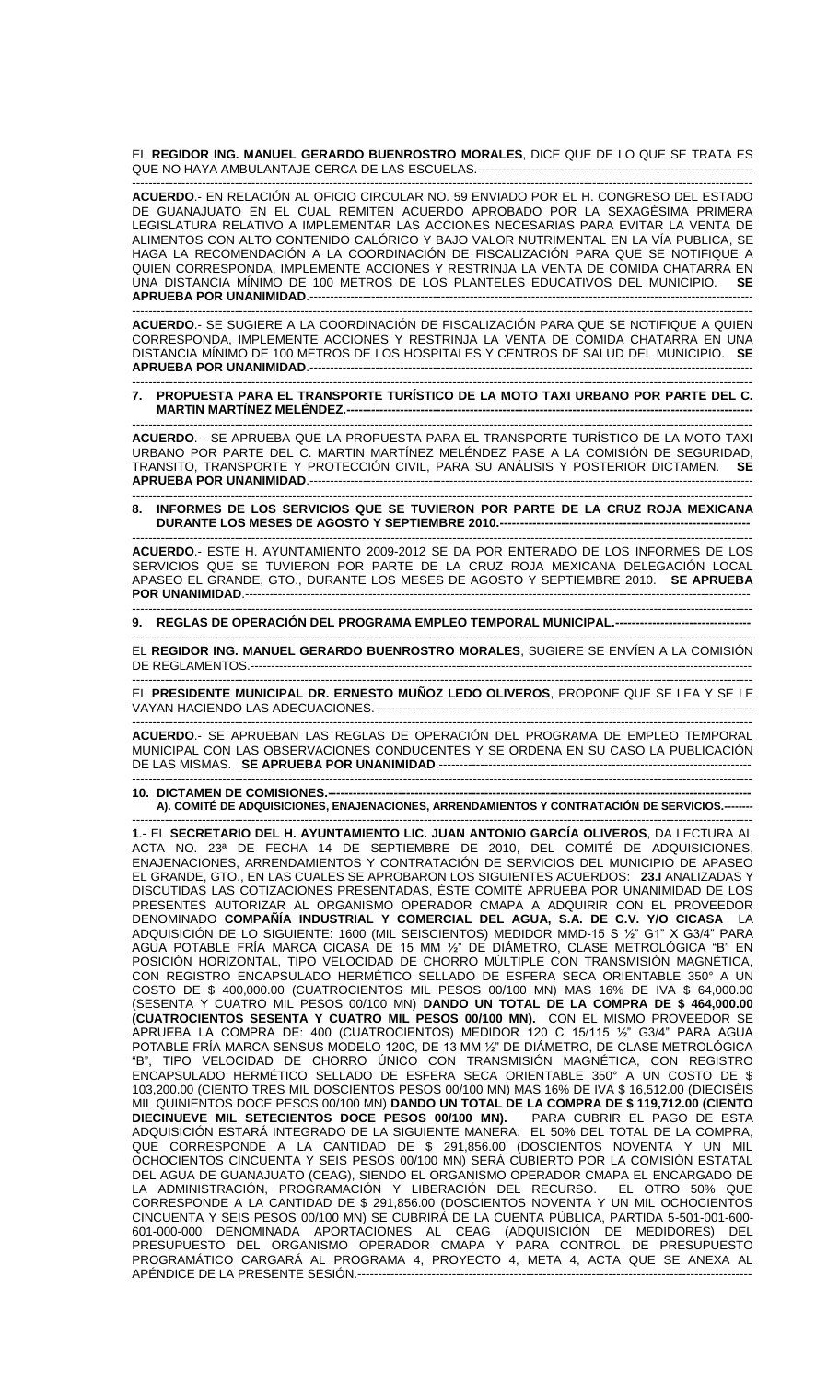EL **REGIDOR ING. MANUEL GERARDO BUENROSTRO MORALES**, DICE QUE DE LO QUE SE TRATA ES QUE NO HAYA AMBULANTAJE CERCA DE LAS ESCUELAS.---

------------------------------------------------------------------------------------------------------------------------------------------------------- **ACUERDO**.- EN RELACIÓN AL OFICIO CIRCULAR NO. 59 ENVIADO POR EL H. CONGRESO DEL ESTADO DE GUANAJUATO EN EL CUAL REMITEN ACUERDO APROBADO POR LA SEXAGÉSIMA PRIMERA LEGISLATURA RELATIVO A IMPLEMENTAR LAS ACCIONES NECESARIAS PARA EVITAR LA VENTA DE ALIMENTOS CON ALTO CONTENIDO CALÓRICO Y BAJO VALOR NUTRIMENTAL EN LA VÍA PUBLICA, SE HAGA LA RECOMENDACIÓN A LA COORDINACIÓN DE FISCALIZACIÓN PARA QUE SE NOTIFIQUE A QUIEN CORRESPONDA, IMPLEMENTE ACCIONES Y RESTRINJA LA VENTA DE COMIDA CHATARRA EN UNA DISTANCIA MÍNIMO DE 100 METROS DE LOS PLANTELES EDUCATIVOS DEL MUNICIPIO. **SE APRUEBA POR UNANIMIDAD**.------------------------------------------------------------------------------------------------------------

**ACUERDO**.- SE SUGIERE A LA COORDINACIÓN DE FISCALIZACIÓN PARA QUE SE NOTIFIQUE A QUIEN CORRESPONDA, IMPLEMENTE ACCIONES Y RESTRINJA LA VENTA DE COMIDA CHATARRA EN UNA DISTANCIA MÍNIMO DE 100 METROS DE LOS HOSPITALES Y CENTROS DE SALUD DEL MUNICIPIO. **SE APRUEBA POR UNANIMIDAD**.------------------------------------------------------------------------------------------------------------

-------------------------------------------------------------------------------------------------------------------------------------------------------

## ------------------------------------------------------------------------------------------------------------------------------------------------------- **7. PROPUESTA PARA EL TRANSPORTE TURÍSTICO DE LA MOTO TAXI URBANO POR PARTE DEL C. MARTIN MARTÍNEZ MELÉNDEZ.---**

------------------------------------------------------------------------------------------------------------------------------------------------------- **ACUERDO**.- SE APRUEBA QUE LA PROPUESTA PARA EL TRANSPORTE TURÍSTICO DE LA MOTO TAXI URBANO POR PARTE DEL C. MARTIN MARTÍNEZ MELÉNDEZ PASE A LA COMISIÓN DE SEGURIDAD, TRANSITO, TRANSPORTE Y PROTECCIÓN CIVIL, PARA SU ANÁLISIS Y POSTERIOR DICTAMEN. **SE APRUEBA POR UNANIMIDAD**.------------------------------------------------------------------------------------------------------------

------------------------------------------------------------------------------------------------------------------------------------------------------- **8. INFORMES DE LOS SERVICIOS QUE SE TUVIERON POR PARTE DE LA CRUZ ROJA MEXICANA DURANTE LOS MESES DE AGOSTO Y SEPTIEMBRE 2010.-------------**

------------------------------------------------------------------------------------------------------------------------------------------------------- **ACUERDO**.- ESTE H. AYUNTAMIENTO 2009-2012 SE DA POR ENTERADO DE LOS INFORMES DE LOS SERVICIOS QUE SE TUVIERON POR PARTE DE LA CRUZ ROJA MEXICANA DELEGACIÓN LOCAL APASEO EL GRANDE, GTO., DURANTE LOS MESES DE AGOSTO Y SEPTIEMBRE 2010. **SE APRUEBA POR UNANIMIDAD**.---------------------------------------------------------------------------------------------------------------------------

------------------------------------------------------------------------------------------------------------------------------------------------------- **9. REGLAS DE OPERACIÓN DEL PROGRAMA EMPLEO TEMPORAL MUNICIPAL.---------------------------------**

------------------------------------------------------------------------------------------------------------------------------------------------------- EL **REGIDOR ING. MANUEL GERARDO BUENROSTRO MORALES**, SUGIERE SE ENVÍEN A LA COMISIÓN DE REGLAMENTOS.--------------------------------------------------------------------------------------------------------------------------

EL **PRESIDENTE MUNICIPAL DR. ERNESTO MUÑOZ LEDO OLIVEROS**, PROPONE QUE SE LEA Y SE LE VAYAN HACIENDO LAS ADECUACIONES.--------------------------------------------------------------------------------------------

-------------------------------------------------------------------------------------------------------------------------------------------------------

------------------------------------------------------------------------------------------------------------------------------------------------------- **ACUERDO**.- SE APRUEBAN LAS REGLAS DE OPERACIÓN DEL PROGRAMA DE EMPLEO TEMPORAL MUNICIPAL CON LAS OBSERVACIONES CONDUCENTES Y SE ORDENA EN SU CASO LA PUBLICACIÓN DE LAS MISMAS. **SE APRUEBA POR UNANIMIDAD**.----------------------------------------------------------------------------

------------------------------------------------------------------------------------------------------------------------------------------------------- **10. DICTAMEN DE COMISIONES.-A). COMITÉ DE ADQUISICIONES, ENAJENACIONES, ARRENDAMIENTOS Y CONTRATACIÓN DE SERVICIOS.--------**

------------------------------------------------------------------------------------------------------------------------------------------------------- **1**.- EL **SECRETARIO DEL H. AYUNTAMIENTO LIC. JUAN ANTONIO GARCÍA OLIVEROS**, DA LECTURA AL ACTA NO. 23ª DE FECHA 14 DE SEPTIEMBRE DE 2010, DEL COMITÉ DE ADQUISICIONES, ENAJENACIONES, ARRENDAMIENTOS Y CONTRATACIÓN DE SERVICIOS DEL MUNICIPIO DE APASEO EL GRANDE, GTO., EN LAS CUALES SE APROBARON LOS SIGUIENTES ACUERDOS: **23.I** ANALIZADAS Y DISCUTIDAS LAS COTIZACIONES PRESENTADAS, ÉSTE COMITÉ APRUEBA POR UNANIMIDAD DE LOS PRESENTES AUTORIZAR AL ORGANISMO OPERADOR CMAPA A ADQUIRIR CON EL PROVEEDOR DENOMINADO **COMPAÑÍA INDUSTRIAL Y COMERCIAL DEL AGUA, S.A. DE C.V. Y/O CICASA** LA ADQUISICIÓN DE LO SIGUIENTE: 1600 (MIL SEISCIENTOS) MEDIDOR MMD-15 S ½" G1" X G3/4" PARA AGUA POTABLE FRÍA MARCA CICASA DE 15 MM ½" DE DIÁMETRO, CLASE METROLÓGICA "B" EN POSICION HORIZONTAL, TIPO VELOCIDAD DE CHORRO MULTIPLE CON TRANSMISION MAGNÉTICA, CON REGISTRO ENCAPSULADO HERMÉTICO SELLADO DE ESFERA SECA ORIENTABLE 350° A UN COSTO DE \$ 400,000.00 (CUATROCIENTOS MIL PESOS 00/100 MN) MAS 16% DE IVA \$ 64,000.00 (SESENTA Y CUATRO MIL PESOS 00/100 MN) **DANDO UN TOTAL DE LA COMPRA DE \$ 464,000.00 (CUATROCIENTOS SESENTA Y CUATRO MIL PESOS 00/100 MN).** CON EL MISMO PROVEEDOR SE APRUEBA LA COMPRA DE: 400 (CUATROCIENTOS) MEDIDOR 120 C 15/115 ½" G3/4" PARA AGUA POTABLE FRÍA MARCA SENSUS MODELO 120C, DE 13 MM ½" DE DIÁMETRO, DE CLASE METROLÓGICA "B", TIPO VELOCIDAD DE CHORRO ÚNICO CON TRANSMISIÓN MAGNÉTICA, CON REGISTRO ENCAPSULADO HERMÉTICO SELLADO DE ESFERA SECA ORIENTABLE 350° A UN COSTO DE \$ 103,200.00 (CIENTO TRES MIL DOSCIENTOS PESOS 00/100 MN) MAS 16% DE IVA \$ 16,512.00 (DIECISÉIS MIL QUINIENTOS DOCE PESOS 00/100 MN) **DANDO UN TOTAL DE LA COMPRA DE \$ 119,712.00 (CIENTO DIECINUEVE MIL SETECIENTOS DOCE PESOS 00/100 MN).** PARA CUBRIR EL PAGO DE ESTA ADQUISICIÓN ESTARÁ INTEGRADO DE LA SIGUIENTE MANERA: EL 50% DEL TOTAL DE LA COMPRA, QUE CORRESPONDE A LA CANTIDAD DE \$ 291,856.00 (DOSCIENTOS NOVENTA Y UN MIL OCHOCIENTOS CINCUENTA Y SEIS PESOS 00/100 MN) SERA CUBIERTO POR LA COMISION ESTATAL DEL AGUA DE GUANAJUATO (CEAG), SIENDO EL ORGANISMO OPERADOR CMAPA EL ENCARGADO DE LA ADMINISTRACIÓN, PROGRAMACIÓN Y LIBERACIÓN DEL RECURSO. EL OTRO 50% QUE CORRESPONDE A LA CANTIDAD DE \$ 291,856.00 (DOSCIENTOS NOVENTA Y UN MIL OCHOCIENTOS CINCUENTA Y SEIS PESOS 00/100 MN) SE CUBRIRÁ DE LA CUENTA PÚBLICA, PARTIDA 5-501-001-600- 601-000-000 DENOMINADA APORTACIONES AL CEAG (ADQUISICIÓN DE MEDIDORES) DEL PRESUPUESTO DEL ORGANISMO OPERADOR CMAPA Y PARA CONTROL DE PRESUPUESTO PROGRAMÁTICO CARGARÁ AL PROGRAMA 4, PROYECTO 4, META 4, ACTA QUE SE ANEXA AL APÉNDICE DE LA PRESENTE SESIÓN.------------------------------------------------------------------------------------------------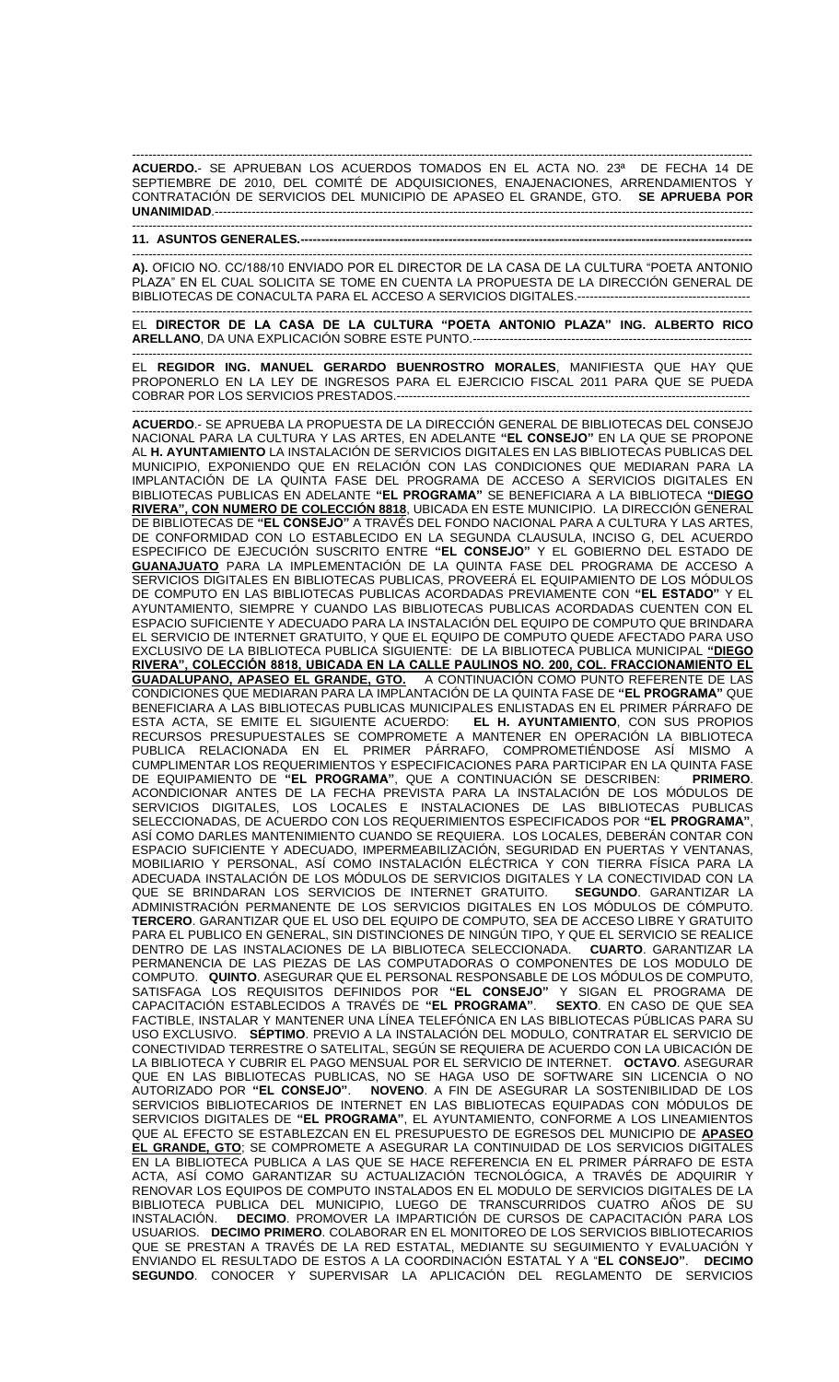------------------------------------------------------------------------------------------------------------------------------------------------------- **ACUERDO.**- SE APRUEBAN LOS ACUERDOS TOMADOS EN EL ACTA NO. 23ª DE FECHA 14 DE SEPTIEMBRE DE 2010, DEL COMITÉ DE ADQUISICIONES, ENAJENACIONES, ARRENDAMIENTOS Y CONTRATACIÓN DE SERVICIOS DEL MUNICIPIO DE APASEO EL GRANDE, GTO. **SE APRUEBA POR UNANIMIDAD**.----------------------------------------------------------------------------------------------------------------------------------- -------------------------------------------------------------------------------------------------------------------------------------------------------

## **11. ASUNTOS GENERALES.--------------------------------------------------------------------------------------------------------------**

------------------------------------------------------------------------------------------------------------------------------------------------------- **A).** OFICIO NO. CC/188/10 ENVIADO POR EL DIRECTOR DE LA CASA DE LA CULTURA "POETA ANTONIO PLAZA" EN EL CUAL SOLICITA SE TOME EN CUENTA LA PROPUESTA DE LA DIRECCIÓN GENERAL DE BIBLIOTECAS DE CONACULTA PARA EL ACCESO A SERVICIOS DIGITALES.------------------------------------------

------------------------------------------------------------------------------------------------------------------------------------------------------- EL **DIRECTOR DE LA CASA DE LA CULTURA "POETA ANTONIO PLAZA" ING. ALBERTO RICO ARELLANO**, DA UNA EXPLICACIÓN SOBRE ESTE PUNTO.--------------------------------------------------------------------

------------------------------------------------------------------------------------------------------------------------------------------------------- EL **REGIDOR ING. MANUEL GERARDO BUENROSTRO MORALES**, MANIFIESTA QUE HAY QUE PROPONERLO EN LA LEY DE INGRESOS PARA EL EJERCICIO FISCAL 2011 PARA QUE SE PUEDA COBRAR POR LOS SERVICIOS PRESTADOS.--------------------------------------------------------------------------------------

------------------------------------------------------------------------------------------------------------------------------------------------------- **ACUERDO**.- SE APRUEBA LA PROPUESTA DE LA DIRECCIÓN GENERAL DE BIBLIOTECAS DEL CONSEJO NACIONAL PARA LA CULTURA Y LAS ARTES, EN ADELANTE **"EL CONSEJO"** EN LA QUE SE PROPONE AL **H. AYUNTAMIENTO** LA INSTALACIÓN DE SERVICIOS DIGITALES EN LAS BIBLIOTECAS PUBLICAS DEL MUNICIPIO, EXPONIENDO QUE EN RELACIÓN CON LAS CONDICIONES QUE MEDIARAN PARA LA IMPLANTACIÓN DE LA QUINTA FASE DEL PROGRAMA DE ACCESO A SERVICIOS DIGITALES EN BIBLIOTECAS PUBLICAS EN ADELANTE **"EL PROGRAMA"** SE BENEFICIARA A LA BIBLIOTECA **"DIEGO RIVERA", CON NUMERO DE COLECCIÓN 8818**, UBICADA EN ESTE MUNICIPIO. LA DIRECCIÓN GENERAL DE BIBLIOTECAS DE **"EL CONSEJO"** A TRAVÉS DEL FONDO NACIONAL PARA A CULTURA Y LAS ARTES, DE CONFORMIDAD CON LO ESTABLECIDO EN LA SEGUNDA CLAUSULA, INCISO G, DEL ACUERDO ESPECIFICO DE EJECUCIÓN SUSCRITO ENTRE **"EL CONSEJO"** Y EL GOBIERNO DEL ESTADO DE **GUANAJUATO** PARA LA IMPLEMENTACIÓN DE LA QUINTA FASE DEL PROGRAMA DE ACCESO A SERVICIOS DIGITALES EN BIBLIOTECAS PUBLICAS, PROVEERÁ EL EQUIPAMIENTO DE LOS MÓDULOS DE COMPUTO EN LAS BIBLIOTECAS PUBLICAS ACORDADAS PREVIAMENTE CON **"EL ESTADO"** Y EL AYUNTAMIENTO, SIEMPRE Y CUANDO LAS BIBLIOTECAS PUBLICAS ACORDADAS CUENTEN CON EL ESPACIO SUFICIENTE Y ADECUADO PARA LA INSTALACIÓN DEL EQUIPO DE COMPUTO QUE BRINDARA EL SERVICIO DE INTERNET GRATUITO, Y QUE EL EQUIPO DE COMPUTO QUEDE AFECTADO PARA USO EXCLUSIVO DE LA BIBLIOTECA PUBLICA SIGUIENTE: DE LA BIBLIOTECA PUBLICA MUNICIPAL **"DIEGO RIVERA", COLECCIÓN 8818, UBICADA EN LA CALLE PAULINOS NO. 200, COL. FRACCIONAMIENTO EL GUADALUPANO, APASEO EL GRANDE, GTO.** A CONTINUACIÓN COMO PUNTO REFERENTE DE LAS CONDICIONES QUE MEDIARAN PARA LA IMPLANTACIÓN DE LA QUINTA FASE DE **"EL PROGRAMA"** QUE BENEFICIARA A LAS BIBLIOTECAS PUBLICAS MUNICIPALES ENLISTADAS EN EL PRIMER PÁRRAFO DE ESTA ACTA, SE EMITE EL SIGUIENTE ACUERDO: **EL H. AYUNTAMIENTO**, CON SUS PROPIOS RECURSOS PRESUPUESTALES SE COMPROMETE A MANTENER EN OPERACIÓN LA BIBLIOTECA PUBLICA RELACIONADA EN EL PRIMER PÁRRAFO, COMPROMETIÉNDOSE ASÍ MISMO A CUMPLIMENTAR LOS REQUERIMIENTOS Y ESPECIFICACIONES PARA PARTICIPAR EN LA QUINTA FASE<br>DE EQUIPAMIENTO DE "EL PROGRAMA", QUE A CONTINUACIÓN SE DESCRIBEN: PRIMERO. DE EQUIPAMIENTO DE **"EL PROGRAMA"**, QUE A CONTINUACIÓN SE DESCRIBEN: **PRIMERO**. ACONDICIONAR ANTES DE LA FECHA PREVISTA PARA LA INSTALACIÓN DE LOS MÓDULOS DE SERVICIOS DIGITALES, LOS LOCALES E INSTALACIONES DE LAS BIBLIOTECAS PUBLICAS SELECCIONADAS, DE ACUERDO CON LOS REQUERIMIENTOS ESPECIFICADOS POR **"EL PROGRAMA"**, ASÍ COMO DARLES MANTENIMIENTO CUANDO SE REQUIERA. LOS LOCALES, DEBERÁN CONTAR CON ESPACIO SUFICIENTE Y ADECUADO, IMPERMEABILIZACIÓN, SEGURIDAD EN PUERTAS Y VENTANAS, MOBILIARIO Y PERSONAL, ASÍ COMO INSTALACIÓN ELÉCTRICA Y CON TIERRA FÍSICA PARA LA ADECUADA INSTALACIÓN DE LOS MÓDULOS DE SERVICIOS DIGITALES Y LA CONECTIVIDAD CON LA QUE SE BRINDARAN LOS SERVICIOS DE INTERNET GRATUITO. **SEGUNDO**. GARANTIZAR LA ADMINISTRACIÓN PERMANENTE DE LOS SERVICIOS DIGITALES EN LOS MÓDULOS DE CÓMPUTO. **TERCERO**. GARANTIZAR QUE EL USO DEL EQUIPO DE COMPUTO, SEA DE ACCESO LIBRE Y GRATUITO PARA EL PUBLICO EN GENERAL, SIN DISTINCIONES DE NINGÚN TIPO, Y QUE EL SERVICIO SE REALICE DENTRO DE LAS INSTALACIONES DE LA BIBLIOTECA SELECCIONADA. **CUARTO**. GARANTIZAR LA PERMANENCIA DE LAS PIEZAS DE LAS COMPUTADORAS O COMPONENTES DE LOS MODULO DE COMPUTO. **QUINTO**. ASEGURAR QUE EL PERSONAL RESPONSABLE DE LOS MÓDULOS DE COMPUTO, SATISFAGA LOS REQUISITOS DEFINIDOS POR **"EL CONSEJO"** Y SIGAN EL PROGRAMA DE CAPACITACIÓN ESTABLECIDOS A TRAVÉS DE **"EL PROGRAMA"**. **SEXTO**. EN CASO DE QUE SEA FACTIBLE, INSTALAR Y MANTENER UNA LÍNEA TELEFÓNICA EN LAS BIBLIOTECAS PÚBLICAS PARA SU USO EXCLUSIVO. **SÉPTIMO**. PREVIO A LA INSTALACIÓN DEL MODULO, CONTRATAR EL SERVICIO DE CONECTIVIDAD TERRESTRE O SATELITAL, SEGÚN SE REQUIERA DE ACUERDO CON LA UBICACIÓN DE LA BIBLIOTECA Y CUBRIR EL PAGO MENSUAL POR EL SERVICIO DE INTERNET. **OCTAVO**. ASEGURAR QUE EN LAS BIBLIOTECAS PUBLICAS, NO SE HAGA USO DE SOFTWARE SIN LICENCIA O NO AUTORIZADO POR **"EL CONSEJO"**. **NOVENO**. A FIN DE ASEGURAR LA SOSTENIBILIDAD DE LOS SERVICIOS BIBLIOTECARIOS DE INTERNET EN LAS BIBLIOTECAS EQUIPADAS CON MÓDULOS DE SERVICIOS DIGITALES DE **"EL PROGRAMA"**, EL AYUNTAMIENTO, CONFORME A LOS LINEAMIENTOS QUE AL EFECTO SE ESTABLEZCAN EN EL PRESUPUESTO DE EGRESOS DEL MUNICIPIO DE **APASEO EL GRANDE, GTO**; SE COMPROMETE A ASEGURAR LA CONTINUIDAD DE LOS SERVICIOS DIGITALES EN LA BIBLIOTECA PUBLICA A LAS QUE SE HACE REFERENCIA EN EL PRIMER PÁRRAFO DE ESTA ACTA, ASÍ COMO GARANTIZAR SU ACTUALIZACIÓN TECNOLÓGICA, A TRAVÉS DE ADQUIRIR Y RENOVAR LOS EQUIPOS DE COMPUTO INSTALADOS EN EL MODULO DE SERVICIOS DIGITALES DE LA BIBLIOTECA PUBLICA DEL MUNICIPIO, LUEGO DE TRANSCURRIDOS CUATRO AÑOS DE SU INSTALACIÓN. **DECIMO**. PROMOVER LA IMPARTICIÓN DE CURSOS DE CAPACITACIÓN PARA LOS USUARIOS. **DECIMO PRIMERO**. COLABORAR EN EL MONITOREO DE LOS SERVICIOS BIBLIOTECARIOS QUE SE PRESTAN A TRAVÉS DE LA RED ESTATAL, MEDIANTE SU SEGUIMIENTO Y EVALUACIÓN Y ENVIANDO EL RESULTADO DE ESTOS A LA COORDINACIÓN ESTATAL Y A "**EL CONSEJO"**. **DECIMO SEGUNDO**. CONOCER Y SUPERVISAR LA APLICACIÓN DEL REGLAMENTO DE SERVICIOS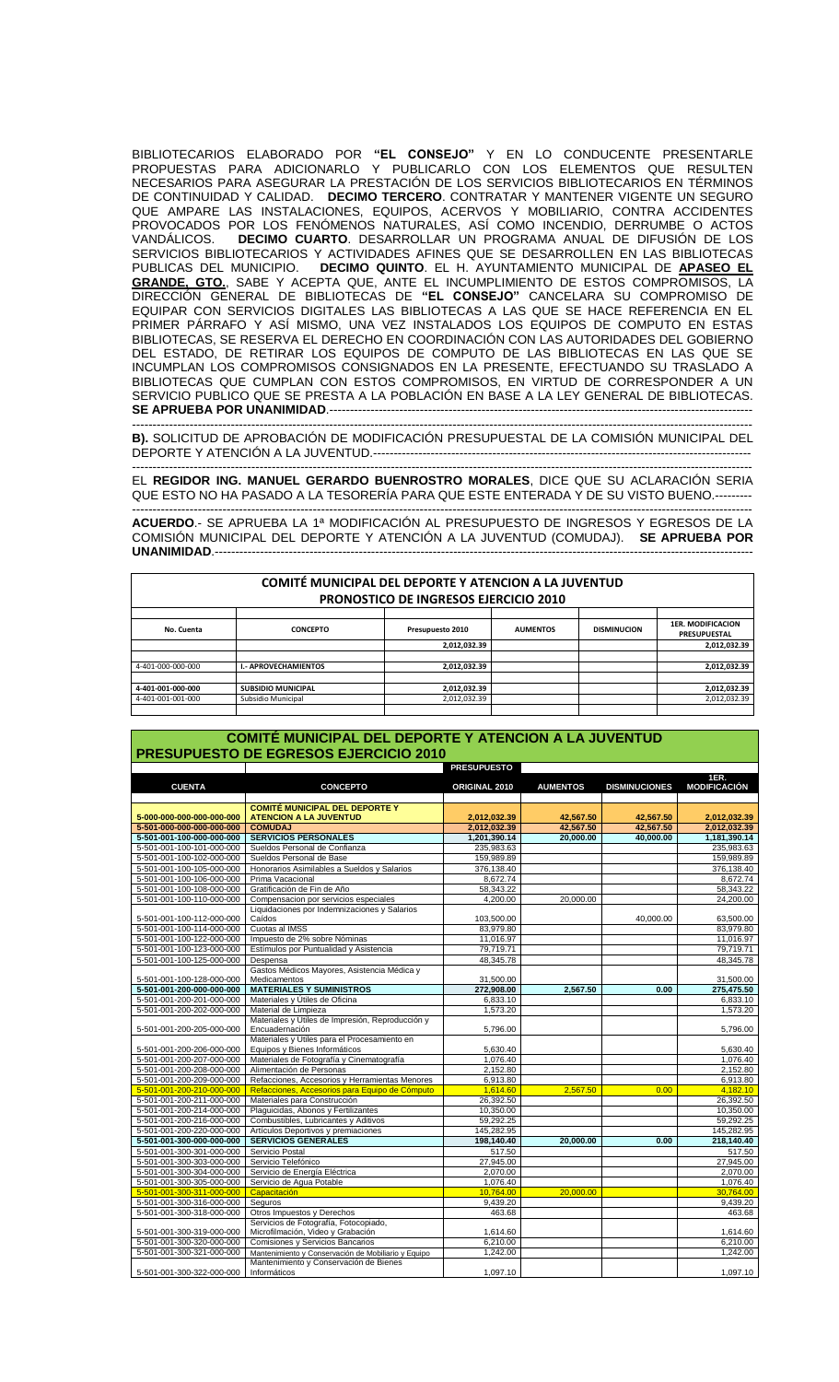BIBLIOTECARIOS ELABORADO POR **"EL CONSEJO"** Y EN LO CONDUCENTE PRESENTARLE PROPUESTAS PARA ADICIONARLO Y PUBLICARLO CON LOS ELEMENTOS QUE RESULTEN NECESARIOS PARA ASEGURAR LA PRESTACIÓN DE LOS SERVICIOS BIBLIOTECARIOS EN TÉRMINOS DE CONTINUIDAD Y CALIDAD. **DECIMO TERCERO**. CONTRATAR Y MANTENER VIGENTE UN SEGURO QUE AMPARE LAS INSTALACIONES, EQUIPOS, ACERVOS Y MOBILIARIO, CONTRA ACCIDENTES PROVOCADOS POR LOS FENÓMENOS NATURALES, ASÍ COMO INCENDIO, DERRUMBE O ACTOS VANDÁLICOS. **DECIMO CUARTO**. DESARROLLAR UN PROGRAMA ANUAL DE DIFUSIÓN DE LOS SERVICIOS BIBLIOTECARIOS Y ACTIVIDADES AFINES QUE SE DESARROLLEN EN LAS BIBLIOTECAS PUBLICAS DEL MUNICIPIO. **DECIMO QUINTO**. EL H. AYUNTAMIENTO MUNICIPAL DE **APASEO EL GRANDE, GTO.**, SABE Y ACEPTA QUE, ANTE EL INCUMPLIMIENTO DE ESTOS COMPROMISOS, LA DIRECCIÓN GENERAL DE BIBLIOTECAS DE **"EL CONSEJO"** CANCELARA SU COMPROMISO DE EQUIPAR CON SERVICIOS DIGITALES LAS BIBLIOTECAS A LAS QUE SE HACE REFERENCIA EN EL PRIMER PÁRRAFO Y ASÍ MISMO, UNA VEZ INSTALADOS LOS EQUIPOS DE COMPUTO EN ESTAS BIBLIOTECAS, SE RESERVA EL DERECHO EN COORDINACIÓN CON LAS AUTORIDADES DEL GOBIERNO DEL ESTADO, DE RETIRAR LOS EQUIPOS DE COMPUTO DE LAS BIBLIOTECAS EN LAS QUE SE INCUMPLAN LOS COMPROMISOS CONSIGNADOS EN LA PRESENTE, EFECTUANDO SU TRASLADO A BIBLIOTECAS QUE CUMPLAN CON ESTOS COMPROMISOS, EN VIRTUD DE CORRESPONDER A UN SERVICIO PUBLICO QUE SE PRESTA A LA POBLACIÓN EN BASE A LA LEY GENERAL DE BIBLIOTECAS. **SE APRUEBA POR UNANIMIDAD.--**

------------------------------------------------------------------------------------------------------------------------------------------------------- **B).** SOLICITUD DE APROBACIÓN DE MODIFICACIÓN PRESUPUESTAL DE LA COMISIÓN MUNICIPAL DEL DEPORTE Y ATENCIÓN A LA JUVENTUD.--------------------------------------------------------------------------------------------

------------------------------------------------------------------------------------------------------------------------------------------------------- EL **REGIDOR ING. MANUEL GERARDO BUENROSTRO MORALES**, DICE QUE SU ACLARACIÓN SERIA QUE ESTO NO HA PASADO A LA TESORERÍA PARA QUE ESTE ENTERADA Y DE SU VISTO BUENO.--------- -------------------------------------------------------------------------------------------------------------------------------------------------------

**ACUERDO**.- SE APRUEBA LA 1ª MODIFICACIÓN AL PRESUPUESTO DE INGRESOS Y EGRESOS DE LA COMISIÓN MUNICIPAL DEL DEPORTE Y ATENCIÓN A LA JUVENTUD (COMUDAJ). **SE APRUEBA POR UNANIMIDAD.---**

| <b>COMITÉ MUNICIPAL DEL DEPORTE Y ATENCION A LA JUVENTUD</b><br><b>PRONOSTICO DE INGRESOS EJERCICIO 2010</b> |                             |                  |                 |                    |                                                 |  |
|--------------------------------------------------------------------------------------------------------------|-----------------------------|------------------|-----------------|--------------------|-------------------------------------------------|--|
| No. Cuenta                                                                                                   | <b>CONCEPTO</b>             | Presupuesto 2010 | <b>AUMENTOS</b> | <b>DISMINUCION</b> | <b>1ER. MODIFICACION</b><br><b>PRESUPUESTAL</b> |  |
|                                                                                                              |                             | 2.012.032.39     |                 |                    | 2,012,032.39                                    |  |
|                                                                                                              |                             |                  |                 |                    |                                                 |  |
| 4-401-000-000-000                                                                                            | <b>I.- APROVECHAMIENTOS</b> | 2,012,032.39     |                 |                    | 2,012,032.39                                    |  |
|                                                                                                              |                             |                  |                 |                    |                                                 |  |
| 4-401-001-000-000                                                                                            | <b>SUBSIDIO MUNICIPAL</b>   | 2.012.032.39     |                 |                    | 2,012,032.39                                    |  |
| 4-401-001-001-000                                                                                            | Subsidio Municipal          | 2,012,032.39     |                 |                    | 2,012,032.39                                    |  |
|                                                                                                              |                             |                  |                 |                    |                                                 |  |

## **COMITÉ MUNICIPAL DEL DEPORTE Y ATENCION A LA JUVENTUD PRESUPUESTO DE EGRESOS EJERCICIO 2010**

|                           |                                                     | <b>PRESUPUESTO</b> |                 |                      |                     |
|---------------------------|-----------------------------------------------------|--------------------|-----------------|----------------------|---------------------|
|                           |                                                     |                    |                 |                      | <b>1ER.</b>         |
| <b>CUENTA</b>             | <b>CONCEPTO</b>                                     | ORIGINAL 2010      | <b>AUMENTOS</b> | <b>DISMINUCIONES</b> | <b>MODIFICACIÓN</b> |
|                           |                                                     |                    |                 |                      |                     |
|                           | <b>COMITÉ MUNICIPAL DEL DEPORTE Y</b>               |                    |                 |                      |                     |
| 5-000-000-000-000-000-000 | <b>ATENCION A LA JUVENTUD</b>                       | 2,012,032.39       | 42.567.50       | 42.567.50            | 2,012,032.39        |
| 5-501-000-000-000-000-000 | <b>COMUDAJ</b>                                      | 2,012,032.39       | 42.567.50       | 42.567.50            | 2,012,032.39        |
| 5-501-001-100-000-000-000 | <b>SERVICIOS PERSONALES</b>                         | 1,201,390.14       | 20.000.00       | 40.000.00            | 1,181,390.14        |
| 5-501-001-100-101-000-000 | Sueldos Personal de Confianza                       | 235,983.63         |                 |                      | 235,983.63          |
| 5-501-001-100-102-000-000 | Sueldos Personal de Base                            | 159,989.89         |                 |                      | 159,989.89          |
| 5-501-001-100-105-000-000 | Honorarios Asimilables a Sueldos y Salarios         | 376,138.40         |                 |                      | 376,138.40          |
| 5-501-001-100-106-000-000 | Prima Vacacional                                    | 8,672.74           |                 |                      | 8,672.74            |
| 5-501-001-100-108-000-000 | Gratificación de Fin de Año                         | 58,343.22          |                 |                      | 58,343.22           |
| 5-501-001-100-110-000-000 | Compensacion por servicios especiales               | 4,200.00           | 20.000.00       |                      | 24,200.00           |
|                           | Liquidaciones por Indemnizaciones y Salarios        |                    |                 |                      |                     |
| 5-501-001-100-112-000-000 | Caídos                                              | 103,500.00         |                 | 40.000.00            | 63,500.00           |
| 5-501-001-100-114-000-000 | Cuotas al IMSS                                      | 83,979.80          |                 |                      | 83,979.80           |
| 5-501-001-100-122-000-000 | Impuesto de 2% sobre Nóminas                        | 11,016.97          |                 |                      | 11,016.97           |
| 5-501-001-100-123-000-000 | Estímulos por Puntualidad y Asistencia              | 79,719.71          |                 |                      | 79,719.71           |
| 5-501-001-100-125-000-000 | Despensa                                            | 48,345.78          |                 |                      | 48,345.78           |
|                           | Gastos Médicos Mayores, Asistencia Médica y         |                    |                 |                      |                     |
| 5-501-001-100-128-000-000 | Medicamentos                                        | 31,500.00          |                 |                      | 31,500.00           |
| 5-501-001-200-000-000-000 | <b>MATERIALES Y SUMINISTROS</b>                     | 272,908.00         | 2,567.50        | 0.00                 | 275,475.50          |
| 5-501-001-200-201-000-000 | Materiales y Útiles de Oficina                      | 6,833.10           |                 |                      | 6,833.10            |
| 5-501-001-200-202-000-000 | Material de Limpieza                                | 1,573.20           |                 |                      | 1,573.20            |
|                           | Materiales y Útiles de Impresión, Reproducción y    |                    |                 |                      |                     |
| 5-501-001-200-205-000-000 | Encuadernación                                      | 5,796.00           |                 |                      | 5,796.00            |
|                           | Materiales y Útiles para el Procesamiento en        |                    |                 |                      |                     |
| 5-501-001-200-206-000-000 | Equipos y Bienes Informáticos                       | 5,630.40           |                 |                      | 5,630.40            |
| 5-501-001-200-207-000-000 | Materiales de Fotografía y Cinematografía           | 1,076.40           |                 |                      | 1,076.40            |
| 5-501-001-200-208-000-000 | Alimentación de Personas                            | 2,152.80           |                 |                      | 2,152.80            |
| 5-501-001-200-209-000-000 | Refacciones, Accesorios y Herramientas Menores      | 6,913.80           |                 |                      | 6,913.80            |
| 5-501-001-200-210-000-000 | Refacciones, Accesorios para Equipo de Cómputo      | 1,614.60           | 2,567.50        | 0.00                 | 4,182.10            |
| 5-501-001-200-211-000-000 | Materiales para Construcción                        | 26,392.50          |                 |                      | 26,392.50           |
| 5-501-001-200-214-000-000 | Plaquicidas, Abonos y Fertilizantes                 | 10,350.00          |                 |                      | 10,350.00           |
| 5-501-001-200-216-000-000 | Combustibles, Lubricantes y Aditivos                | 59,292.25          |                 |                      | 59,292.25           |
| 5-501-001-200-220-000-000 | Artículos Deportivos y premiaciones                 | 145,282.95         |                 |                      | 145,282.95          |
| 5-501-001-300-000-000-000 | <b>SERVICIOS GENERALES</b>                          | 198,140.40         | 20,000.00       | 0.00                 | 218,140.40          |
| 5-501-001-300-301-000-000 | Servicio Postal                                     | 517.50             |                 |                      | 517.50              |
| 5-501-001-300-303-000-000 | Servicio Telefónico                                 | 27,945.00          |                 |                      | 27,945.00           |
| 5-501-001-300-304-000-000 | Servicio de Energía Eléctrica                       | 2,070.00           |                 |                      | 2,070.00            |
| 5-501-001-300-305-000-000 | Servicio de Agua Potable                            | 1,076.40           |                 |                      | 1,076.40            |
| 5-501-001-300-311-000-000 | Capacitación                                        | 10,764.00          | 20.000.00       |                      | 30,764.00           |
| 5-501-001-300-316-000-000 | Seguros                                             | 9,439.20           |                 |                      | 9,439.20            |
| 5-501-001-300-318-000-000 | Otros Impuestos y Derechos                          | 463.68             |                 |                      | 463.68              |
|                           | Servicios de Fotografía, Fotocopiado,               |                    |                 |                      |                     |
| 5-501-001-300-319-000-000 | Microfilmación, Video y Grabación                   | 1,614.60           |                 |                      | 1,614.60            |
| 5-501-001-300-320-000-000 | Comisiones y Servicios Bancarios                    | 6,210.00           |                 |                      | 6,210.00            |
| 5-501-001-300-321-000-000 | Mantenimiento y Conservación de Mobiliario y Equipo | 1,242.00           |                 |                      | 1,242.00            |
|                           | Mantenimiento y Conservación de Bienes              |                    |                 |                      |                     |
| 5-501-001-300-322-000-000 | Informáticos                                        | 1.097.10           |                 |                      | 1.097.10            |